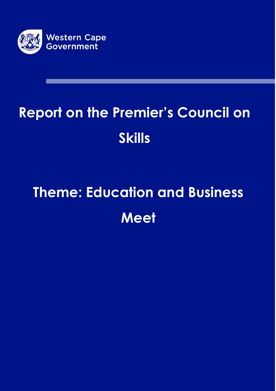

# **Report on the Premier's Council on Skills**

# **Theme: Education and Business Meet**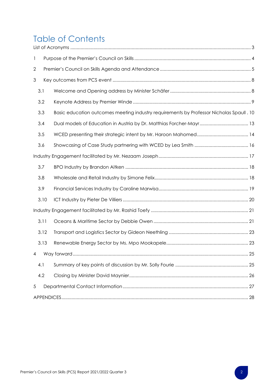# Table of Contents

| $\mathbf{1}$ |      |                                                                                          |  |
|--------------|------|------------------------------------------------------------------------------------------|--|
| $\mathbf 2$  |      |                                                                                          |  |
| 3            |      |                                                                                          |  |
|              | 3.1  |                                                                                          |  |
|              | 3.2  |                                                                                          |  |
|              | 3.3  | Basic education outcomes meeting industry requirements by Professor Nicholas Spaull . 10 |  |
|              | 3.4  |                                                                                          |  |
|              | 3.5  |                                                                                          |  |
|              | 3.6  |                                                                                          |  |
|              |      |                                                                                          |  |
|              | 3.7  |                                                                                          |  |
|              | 3.8  |                                                                                          |  |
|              | 3.9  |                                                                                          |  |
|              | 3.10 |                                                                                          |  |
|              |      |                                                                                          |  |
|              | 3.11 |                                                                                          |  |
|              | 3.12 |                                                                                          |  |
|              | 3.13 |                                                                                          |  |
|              |      |                                                                                          |  |
|              | 4.1  |                                                                                          |  |
|              | 4.2  |                                                                                          |  |
| $\sqrt{5}$   |      |                                                                                          |  |
|              |      |                                                                                          |  |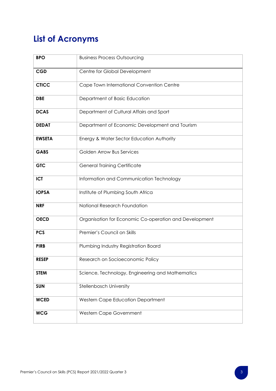## <span id="page-2-0"></span>**List of Acronyms**

| <b>BPO</b>    | <b>Business Process Outsourcing</b>                    |
|---------------|--------------------------------------------------------|
| <b>CGD</b>    | Centre for Global Development                          |
| <b>CTICC</b>  | Cape Town International Convention Centre              |
| <b>DBE</b>    | Department of Basic Education                          |
| <b>DCAS</b>   | Department of Cultural Affairs and Sport               |
| <b>DEDAT</b>  | Department of Economic Development and Tourism         |
| <b>EWSETA</b> | Energy & Water Sector Education Authority              |
| <b>GABS</b>   | <b>Golden Arrow Bus Services</b>                       |
| <b>GTC</b>    | <b>General Training Certificate</b>                    |
| <b>ICT</b>    | Information and Communication Technology               |
| <b>IOPSA</b>  | Institute of Plumbing South Africa                     |
| <b>NRF</b>    | National Research Foundation                           |
| <b>OECD</b>   | Organisation for Economic Co-operation and Development |
| <b>PCS</b>    | Premier's Council on Skills                            |
| <b>PIRB</b>   | Plumbing Industry Registration Board                   |
| <b>RESEP</b>  | Research on Socioeconomic Policy                       |
| <b>STEM</b>   | Science, Technology, Engineering and Mathematics       |
| <b>SUN</b>    | Stellenbosch University                                |
| <b>WCED</b>   | Western Cape Education Department                      |
| <b>WCG</b>    | Western Cape Government                                |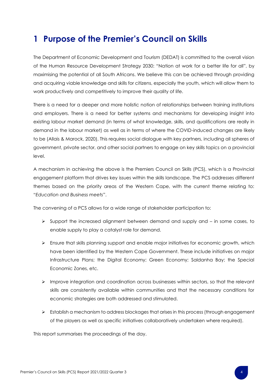## <span id="page-3-0"></span>**1 Purpose of the Premier's Council on Skills**

The Department of Economic Development and Tourism (DEDAT) is committed to the overall vision of the Human Resource Development Strategy 2030: "Nation at work for a better life for all", by maximising the potential of all South Africans. We believe this can be achieved through providing and acquiring viable knowledge and skills for citizens, especially the youth, which will allow them to work productively and competitively to improve their quality of life.

There is a need for a deeper and more holistic notion of relationships between training institutions and employers. There is a need for better systems and mechanisms for developing insight into existing labour market demand (in terms of what knowledge, skills, and qualifications are really in demand in the labour market) as well as in terms of where the COVID-induced changes are likely to be (Allais & Marock, 2020). This requires social dialogue with key partners, including all spheres of government, private sector, and other social partners to engage on key skills topics on a provincial level.

A mechanism in achieving the above is the Premiers Council on Skills (PCS), which is a Provincial engagement platform that drives key issues within the skills landscape. The PCS addresses different themes based on the priority areas of the Western Cape, with the current theme relating to: "*Education and Business meets*".

The convening of a PCS allows for a wide range of stakeholder participation to:

- $\triangleright$  Support the increased alignment between demand and supply and  $-$  in some cases, to enable supply to play a catalyst role for demand.
- ➢ Ensure that skills planning support and enable major initiatives for economic growth, which have been identified by the Western Cape Government. These include initiatives on major Infrastructure Plans; the Digital Economy; Green Economy; Saldanha Bay; the Special Economic Zones, etc.
- ➢ Improve integration and coordination across businesses within sectors, so that the relevant skills are consistently available within communities and that the necessary conditions for economic strategies are both addressed and stimulated.
- ➢ Establish a mechanism to address blockages that arises in this process (through engagement of the players as well as specific initiatives collaboratively undertaken where required).

This report summarises the proceedings of the day.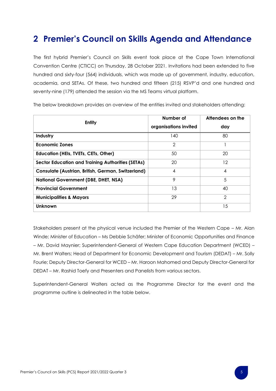## <span id="page-4-0"></span>**2 Premier's Council on Skills Agenda and Attendance**

The first hybrid Premier's Council on Skills event took place at the Cape Town International Convention Centre (CTICC) on Thursday, 28 October 2021. Invitations had been extended to five hundred and sixty-four (564) individuals, which was made up of government, industry, education, academia, and SETAs. Of these, two hundred and fifteen (215) RSVP'd and one hundred and seventy-nine (179) attended the session via the MS Teams virtual platform.

| <b>Entity</b>                                            | Number of             | Attendees on the |
|----------------------------------------------------------|-----------------------|------------------|
|                                                          | organisations invited | day              |
| Industry                                                 | 140                   | 80               |
| <b>Economic Zones</b>                                    | 2                     |                  |
| <b>Education (HEIs, TVETs, CETs, Other)</b>              | 50                    | 20               |
| <b>Sector Education and Training Authorities (SETAs)</b> | 20                    | 12               |
| Consulate (Austrian, British, German, Switzerland)       | 4                     | 4                |
| <b>National Government (DBE, DHET, NSA)</b>              | 9                     | 5                |
| <b>Provincial Government</b>                             | 13                    | 40               |
| <b>Municipalities &amp; Mayors</b>                       | 29                    | 2                |
| Unknown                                                  |                       | 15               |

The below breakdown provides an overview of the entities invited and stakeholders attending:

Stakeholders present at the physical venue included the Premier of the Western Cape – Mr. Alan Winde; Minister of Education – Ms Debbie Schäfer; Minister of Economic Opportunities and Finance – Mr. David Maynier; Superintendent-General of Western Cape Education Department (WCED) – Mr. Brent Walters; Head of Department for Economic Development and Tourism (DEDAT) – Mr. Solly Fourie; Deputy Director-General for WCED – Mr. Haroon Mahomed and Deputy Director-General for DEDAT – Mr. Rashid Toefy and Presenters and Panelists from various sectors.

Superintendent-General Walters acted as the Programme Director for the event and the programme outline is delineated in the table below.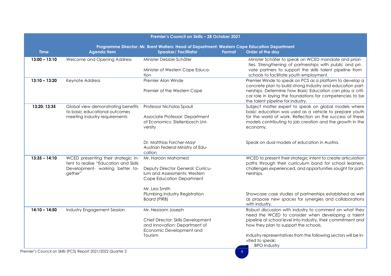| Premier's Council on Skills - 28 October 2021 |                                                                                                                            |                                                                                                                                      |                                                                                                                                                                                                      |
|-----------------------------------------------|----------------------------------------------------------------------------------------------------------------------------|--------------------------------------------------------------------------------------------------------------------------------------|------------------------------------------------------------------------------------------------------------------------------------------------------------------------------------------------------|
| <b>Time</b>                                   | <b>Agenda Item</b>                                                                                                         | Programme Director: Mr. Brent Walters: Head of Department: Western Cape Education Department<br><b>Speaker/Facilitator</b><br>Format | Order of the day                                                                                                                                                                                     |
| $13:00 - 13:10$                               | Welcome and Opening Address                                                                                                | Minister Debbie Schäfer                                                                                                              | Minister Schäfer to speak on WCED mandate and priori-<br>ties. Strengthening of partnerships with public and pri-                                                                                    |
|                                               |                                                                                                                            | Minister of Western Cape Educa-<br>tion                                                                                              | vate partners to support the skills talent pipeline from<br>schools to facilitate youth employment.                                                                                                  |
| $13:10 - 13:20$                               | Keynote Address                                                                                                            | Premier Alan Winde                                                                                                                   | Premier Winde to speak on PCS as a platform to develop a<br>concrete plan to build strong industry and education part-                                                                               |
|                                               |                                                                                                                            | Premier of the Western Cape                                                                                                          | nerships. Determine how Basic Education can play a criti-<br>cal role in laying the foundations for competencies to be<br>the talent pipeline for industry.                                          |
| 13:20: 13:35                                  | Global view demonstrating benefits<br>to basic educational outcomes                                                        | Professor Nicholas Spaull                                                                                                            | Subject matter expert to speak on global models where<br>basic education was used as a vehicle to prepare youth                                                                                      |
|                                               | meeting industry requirements                                                                                              | Associate Professor: Department<br>of Economics: Stellenbosch Uni-<br>versity                                                        | for the world of work. Reflection on the success of these<br>models contributing to job creation and the growth in the<br>economy.                                                                   |
|                                               |                                                                                                                            | Dr. Matthias Forcher-Mayr<br>Austrian Federal Ministry of Edu-<br>cation                                                             | Speak on dual models of education in Austria.                                                                                                                                                        |
| $13:35 - 14:10$                               | WCED presenting their strategic in-<br>tent to realise "Education and Skills<br>Development- working better to-<br>gether" | Mr. Haroon Mahomed<br>Deputy Director General: Curricu-<br>lum and Assessments: Western<br>Cape Education Department                 | WCED to present their strategic intent to create articulation<br>paths through their curriculum band for school learners,<br>challenges experienced, and opportunities sought for part-<br>nerships. |
|                                               |                                                                                                                            | Mr. Lea Smith<br>Plumbing Industry Registration<br>Board (PIRB)                                                                      | Showcase case studies of partnerships established as well<br>as propose new spaces for synergies and collaborations<br>with industry.                                                                |
| $14:10 - 14:50$                               | <b>Industry Engagement Session</b>                                                                                         | Mr. Nezaam Joseph                                                                                                                    | Robust discussion with industry to comment on what they<br>need the WCED to consider when developing a talent                                                                                        |
|                                               |                                                                                                                            | Chief Director: Skills Development<br>and Innovation: Department of<br>Economic Development and                                      | pipeline at school level into industry, their commitment and<br>how they plan to support the schools.                                                                                                |
|                                               |                                                                                                                            | Tourism                                                                                                                              | Industry representatives from the following sectors will be in-<br>vited to speak:<br><b>BPO</b> Industry                                                                                            |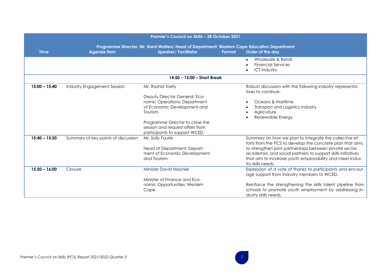| Premier's Council on Skills - 28 October 2021                                                |                                     |                                                                                                         |                                                                                                                                                                                                                                                                                                                                 |  |  |
|----------------------------------------------------------------------------------------------|-------------------------------------|---------------------------------------------------------------------------------------------------------|---------------------------------------------------------------------------------------------------------------------------------------------------------------------------------------------------------------------------------------------------------------------------------------------------------------------------------|--|--|
| Programme Director: Mr. Brent Walters: Head of Department: Western Cape Education Department |                                     |                                                                                                         |                                                                                                                                                                                                                                                                                                                                 |  |  |
| <b>Time</b>                                                                                  | Agenda Item                         | <b>Speaker/Facilitator</b><br>Format                                                                    | Order of the day                                                                                                                                                                                                                                                                                                                |  |  |
|                                                                                              |                                     |                                                                                                         | Wholesale & Retail<br>$\bullet$<br><b>Financial Services</b><br><b>ICT Industry</b>                                                                                                                                                                                                                                             |  |  |
|                                                                                              |                                     | 14:50 - 15:00 - Short Break                                                                             |                                                                                                                                                                                                                                                                                                                                 |  |  |
| $15:00 - 15:40$                                                                              | Industry Engagement Session         | Mr. Rashid Toefy                                                                                        | Robust discussion with the following industry representa-<br>tives to continue:                                                                                                                                                                                                                                                 |  |  |
|                                                                                              |                                     | Deputy Director General: Eco-<br>nomic Operations: Department<br>of Economic Development and<br>Tourism | Oceans & Maritime<br>Transport and Logistics Industry<br>Agriculture<br>Renewable Energy                                                                                                                                                                                                                                        |  |  |
|                                                                                              |                                     | Programme Director to close the<br>session and request offers from<br>participants to support WCED      |                                                                                                                                                                                                                                                                                                                                 |  |  |
| $15:40 - 15:50$                                                                              | Summary of key points of discussion | Mr. Solly Fourie<br>Head of Department: Depart-<br>ment of Economic Development<br>and Tourism          | Summary on how we plan to integrate the collective ef-<br>forts from the PCS to develop the concrete plan that aims<br>to strengthen joint partnerships between private sector,<br>academia, and social partners to support skills initiatives<br>that aim to increase youth employability and meet indus-<br>try skills needs. |  |  |
| $15:50 - 16:00$                                                                              | Closure                             | Minister David Maynier                                                                                  | Expression of a vote of thanks to participants and encour-<br>age support from industry members to WCED.                                                                                                                                                                                                                        |  |  |
|                                                                                              |                                     | Minister of Finance and Eco-<br>nomic Opportunities: Western<br>Cape                                    | Reinforce the strengthening the skills talent pipeline from<br>schools to promote youth employment by addressing in-<br>dustry skills needs.                                                                                                                                                                                    |  |  |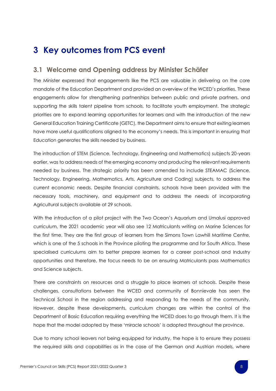## <span id="page-7-0"></span>**3 Key outcomes from PCS event**

#### <span id="page-7-1"></span>**3.1 Welcome and Opening address by Minister Schäfer**

The Minister expressed that engagements like the PCS are valuable in delivering on the core mandate of the Education Department and provided an overview of the WCED's priorities. These engagements allow for strengthening partnerships between public and private partners, and supporting the skills talent pipeline from schools, to facilitate youth employment. The strategic priorities are to expand learning opportunities for learners and with the introduction of the new General Education Training Certificate (GETC), the Department aims to ensure that exiting learners have more useful qualifications aligned to the economy's needs. This is important in ensuring that Education generates the skills needed by business.

The introduction of STEM (Science, Technology, Engineering and Mathematics) subjects 20-years earlier, was to address needs of the emerging economy and producing the relevant requirements needed by business. The strategic priority has been amended to include STEAMAC (Science, Technology, Engineering, Mathematics, Arts, Agriculture and Coding) subjects, to address the current economic needs. Despite financial constraints, schools have been provided with the necessary tools, machinery, and equipment and to address the needs of incorporating Agricultural subjects available at 29 schools.

With the introduction of a pilot project with the Two Ocean's Aquarium and Umalusi approved curriculum, the 2021 academic year will also see 12 Matriculants writing on Marine Sciences for the first time. They are the first group of learners from the Simons Town Lawhill Maritime Centre, which is one of the 5 schools in the Province piloting the programme and for South Africa. These specialised curriculums aim to better prepare learners for a career post-school and Industry opportunities and therefore, the focus needs to be on ensuring Matriculants pass Mathematics and Science subjects.

There are constraints on resources and a struggle to place learners at schools. Despite these challenges, consultations between the WCED and community of Bonnievale has seen the Technical School in the region addressing and responding to the needs of the community. However, despite these developments, curriculum changes are within the control of the Department of Basic Education requiring everything the WCED does to go through them. It is the hope that the model adopted by these 'miracle schools' is adopted throughout the province.

Due to many school leavers not being equipped for industry, the hope is to ensure they possess the required skills and capabilities as in the case of the German and Austrian models, where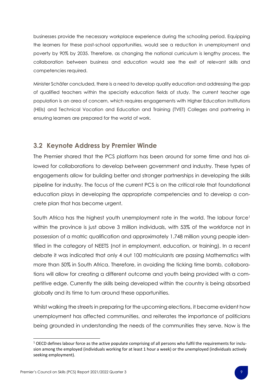businesses provide the necessary workplace experience during the schooling period. Equipping the learners for these post-school opportunities, would see a reduction in unemployment and poverty by 90% by 2035. Therefore, as changing the national curriculum is lengthy process, the collaboration between business and education would see the exit of relevant skills and competencies required.

Minister Schäfer concluded, there is a need to develop quality education and addressing the gap of qualified teachers within the specialty education fields of study. The current teacher age population is an area of concern, which requires engagements with Higher Education Institutions (HEIs) and Technical Vocation and Education and Training (TVET) Colleges and partnering in ensuring learners are prepared for the world of work.

#### <span id="page-8-0"></span>**3.2 Keynote Address by Premier Winde**

The Premier shared that the PCS platform has been around for some time and has allowed for collaborations to develop between government and industry. These types of engagements allow for building better and stronger partnerships in developing the skills pipeline for industry. The focus of the current PCS is on the critical role that foundational education plays in developing the appropriate competencies and to develop a concrete plan that has become urgent.

South Africa has the highest youth unemployment rate in the world. The labour force<sup>1</sup> within the province is just above 3 million individuals, with 53% of the workforce not in possession of a matric qualification and approximately 1.748 million young people identified in the category of NEETS (not in employment, education, or training). In a recent debate it was indicated that only 4 out 100 matriculants are passing Mathematics with more than 50% in South Africa. Therefore, in avoiding the ticking time bomb, collaborations will allow for creating a different outcome and youth being provided with a competitive edge. Currently the skills being developed within the country is being absorbed globally and its time to turn around these opportunities.

Whilst walking the streets in preparing for the upcoming elections, it became evident how unemployment has affected communities, and reiterates the importance of politicians being grounded in understanding the needs of the communities they serve. Now is the

 $1$  OECD defines labour force as the active populate comprising of all persons who fulfil the requirements for inclusion among the employed (individuals working for at least 1 hour a week) or the unemployed (individuals actively seeking employment).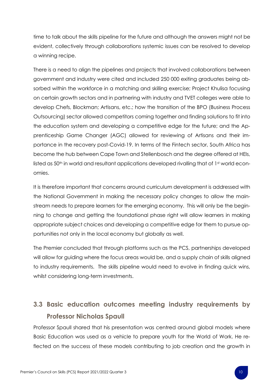time to talk about the skills pipeline for the future and although the answers might not be evident, collectively through collaborations systemic issues can be resolved to develop a winning recipe.

There is a need to align the pipelines and projects that involved collaborations between government and industry were cited and included 250 000 exiting graduates being absorbed within the workforce in a matching and skilling exercise; Project Khulisa focusing on certain growth sectors and in partnering with industry and TVET colleges were able to develop Chefs, Blockman; Artisans, etc.; how the transition of the BPO (Business Process Outsourcing) sector allowed competitors coming together and finding solutions to fit into the education system and developing a competitive edge for the future; and the Apprenticeship Game Changer (AGC) allowed for reviewing of Artisans and their importance in the recovery post-Covid-19. In terms of the Fintech sector, South Africa has become the hub between Cape Town and Stellenbosch and the degree offered at HEIs, listed as 50<sup>th</sup> in world and resultant applications developed rivalling that of 1<sup>st</sup> world economies.

It is therefore important that concerns around curriculum development is addressed with the National Government in making the necessary policy changes to allow the mainstream needs to prepare learners for the emerging economy. This will only be the beginning to change and getting the foundational phase right will allow learners in making appropriate subject choices and developing a competitive edge for them to pursue opportunities not only in the local economy but globally as well.

The Premier concluded that through platforms such as the PCS, partnerships developed will allow for guiding where the focus areas would be, and a supply chain of skills aligned to industry requirements. The skills pipeline would need to evolve in finding quick wins, whilst considering long-term investments.

### <span id="page-9-0"></span>**3.3 Basic education outcomes meeting industry requirements by Professor Nicholas Spaull**

Professor Spaull shared that his presentation was centred around global models where Basic Education was used as a vehicle to prepare youth for the World of Work. He reflected on the success of these models contributing to job creation and the growth in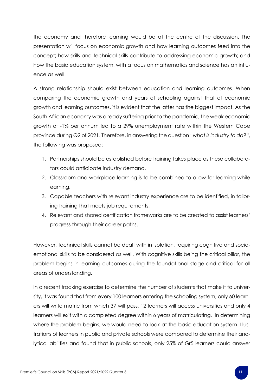the economy and therefore learning would be at the centre of the discussion. The presentation will focus on economic growth and how learning outcomes feed into the concept; how skills and technical skills contribute to addressing economic growth; and how the basic education system, with a focus on mathematics and science has an influence as well.

A strong relationship should exist between education and learning outcomes. When comparing the economic growth and years of schooling against that of economic growth and learning outcomes, it is evident that the latter has the biggest impact. As the South African economy was already suffering prior to the pandemic, the weak economic growth of -1% per annum led to a 29% unemployment rate within the Western Cape province during Q2 of 2021. Therefore, in answering the question "*what is industry to do*?", the following was proposed:

- 1. Partnerships should be established before training takes place as these collaborators could anticipate industry demand.
- 2. Classroom and workplace learning is to be combined to allow for learning while earning.
- 3. Capable teachers with relevant industry experience are to be identified, in tailoring training that meets job requirements.
- 4. Relevant and shared certification frameworks are to be created to assist learners' progress through their career paths.

However, technical skills cannot be dealt with in isolation, requiring cognitive and socioemotional skills to be considered as well. With cognitive skills being the critical pillar, the problem begins in learning outcomes during the foundational stage and critical for all areas of understanding.

In a recent tracking exercise to determine the number of students that make it to university, it was found that from every 100 learners entering the schooling system, only 60 learners will write matric from which 37 will pass, 12 learners will access universities and only 4 learners will exit with a completed degree within 6 years of matriculating. In determining where the problem begins, we would need to look at the basic education system. Illustrations of learners in public and private schools were compared to determine their analytical abilities and found that in public schools, only 25% of Gr5 learners could answer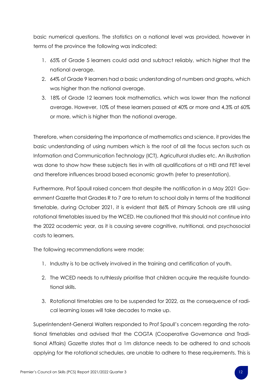basic numerical questions. The statistics on a national level was provided, however in terms of the province the following was indicated:

- 1. 65% of Grade 5 learners could add and subtract reliably, which higher that the national average.
- 2. 64% of Grade 9 learners had a basic understanding of numbers and graphs, which was higher than the national average.
- 3. 18% of Grade 12 learners took mathematics, which was lower than the national average. However, 10% of these learners passed at 40% or more and 4,3% at 60% or more, which is higher than the national average.

Therefore, when considering the importance of mathematics and science, it provides the basic understanding of using numbers which is the root of all the focus sectors such as Information and Communication Technology (ICT), Agricultural studies etc. An illustration was done to show how these subjects ties in with all qualifications at a HEI and FET level and therefore influences broad based economic growth (refer to presentation).

Furthermore, Prof Spaull raised concern that despite the notification in a May 2021 Government Gazette that Grades R to 7 are to return to school daily in terms of the traditional timetable, during October 2021, it is evident that 86% of Primary Schools are still using rotational timetables issued by the WCED. He cautioned that this should not continue into the 2022 academic year, as it is causing severe cognitive, nutritional, and psychosocial costs to learners.

The following recommendations were made:

- 1. Industry is to be actively involved in the training and certification of youth.
- 2. The WCED needs to ruthlessly prioritise that children acquire the requisite foundational skills.
- 3. Rotational timetables are to be suspended for 2022, as the consequence of radical learning losses will take decades to make up.

Superintendent-General Walters responded to Prof Spaull's concern regarding the rotational timetables and advised that the COGTA (Cooperative Governance and Traditional Affairs) Gazette states that a 1m distance needs to be adhered to and schools applying for the rotational schedules, are unable to adhere to these requirements. This is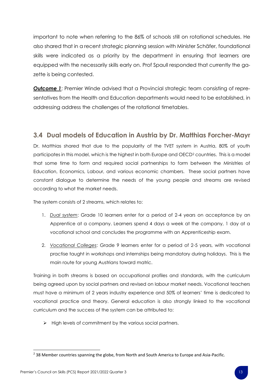important to note when referring to the 86% of schools still on rotational schedules. He also shared that in a recent strategic planning session with Minister Schäfer, foundational skills were indicated as a priority by the department in ensuring that learners are equipped with the necessarily skills early on. Prof Spaull responded that currently the gazette is being contested.

**Outcome 1:** Premier Winde advised that a Provincial strategic team consisting of representatives from the Health and Education departments would need to be established, in addressing address the challenges of the rotational timetables.

#### <span id="page-12-0"></span>**3.4 Dual models of Education in Austria by Dr. Matthias Forcher-Mayr**

Dr. Matthias shared that due to the popularity of the TVET system in Austria, 80% of youth participates in this model, which is the highest in both Europe and OECD<sup>2</sup> countries. This is a model that some time to form and required social partnerships to form between the Ministries of Education, Economics, Labour, and various economic chambers. These social partners have constant dialogue to determine the needs of the young people and streams are revised according to what the market needs.

The system consists of 2 streams, which relates to:

- 1. *Dual system*: Grade 10 learners enter for a period of 2-4 years on acceptance by an Apprentice at a company. Learners spend 4 days a week at the company, 1 day at a vocational school and concludes the programme with an Apprenticeship exam.
- 2. *Vocational Colleges*: Grade 9 learners enter for a period of 2-5 years, with vocational practise taught in workshops and internships being mandatory during holidays. This is the main route for young Austrians toward matric.

Training in both streams is based on occupational profiles and standards, with the curriculum being agreed upon by social partners and revised on labour market needs. Vocational teachers must have a minimum of 2 years industry experience and 50% of learners' time is dedicated to vocational practice and theory. General education is also strongly linked to the vocational curriculum and the success of the system can be attributed to:

➢ High levels of commitment by the various social partners.

<sup>&</sup>lt;sup>2</sup> 38 Member countries spanning the globe, from North and South America to Europe and Asia-Pacific.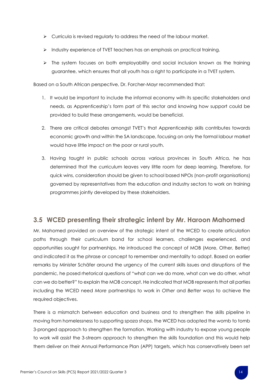- ➢ Curricula is revised regularly to address the need of the labour market.
- ➢ Industry experience of TVET teachers has an emphasis on practical training.
- $\triangleright$  The system focuses on both employability and social inclusion known as the training guarantee, which ensures that all youth has a right to participate in a TVET system.

Based on a South African perspective, Dr. Forcher-Mayr recommended that:

- 1. It would be important to include the informal economy with its specific stakeholders and needs, as Apprenticeship's form part of this sector and knowing how support could be provided to build these arrangements, would be beneficial.
- 2. There are critical debates amongst TVET's that Apprenticeship skills contributes towards economic growth and within the SA landscape, focusing on only the formal labour market would have little impact on the poor or rural youth.
- 3. Having taught in public schools across various provinces in South Africa, he has determined that the curriculum leaves very little room for deep learning. Therefore, for quick wins, consideration should be given to school based NPOs (non-profit organisations) governed by representatives from the education and industry sectors to work on training programmes jointly developed by these stakeholders.

#### <span id="page-13-0"></span>**3.5 WCED presenting their strategic intent by Mr. Haroon Mahomed**

Mr. Mahomed provided an overview of the strategic intent of the WCED to create articulation paths through their curriculum band for school learners, challenges experienced, and opportunities sought for partnerships. He introduced the concept of MOB (More, Other, Better) and indicated it as the phrase or concept to remember and mentality to adopt. Based on earlier remarks by Minister Schäfer around the urgency of the current skills issues and disruptions of the pandemic, he posed rhetorical questions of "what can we do more, what can we do other, what can we do better?" to explain the MOB concept. He indicated that MOB represents that all parties including the WCED need *More* partnerships to work in *Other* and *Better* ways to achieve the required objectives.

There is a mismatch between education and business and to strengthen the skills pipeline in moving from homelessness to supporting spaza shops, the WCED has adopted the womb to tomb 3-pronged approach to strengthen the formation. Working with industry to expose young people to work will assist the 3-stream approach to strengthen the skills foundation and this would help them deliver on their Annual Performance Plan (APP) targets, which has conservatively been set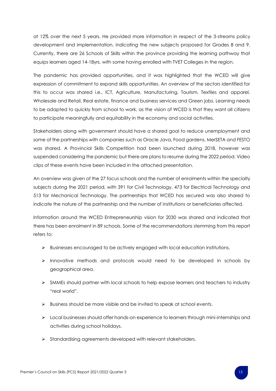at 12% over the next 5 years. He provided more information in respect of the 3-streams policy development and implementation, indicating the new subjects proposed for Grades 8 and 9. Currently, there are 26 Schools of Skills within the province providing the learning pathway that equips learners aged 14-18yrs, with some having enrolled with TVET Colleges in the region.

The pandemic has provided opportunities, and it was highlighted that the WCED will give expression of commitment to expand skills opportunities. An overview of the sectors identified for this to occur was shared i.e., ICT, Agriculture, Manufacturing, Tourism, Textiles and apparel, Wholesale and Retail, Real estate, finance and business services and Green jobs. Learning needs to be adapted to quickly from school to work, as the vision of WCED is that they want all citizens to participate meaningfully and equitability in the economy and social activities.

Stakeholders along with government should have a shared goal to reduce unemployment and some of the partnerships with companies such as Oracle Java, Food gardens, MerSETA and FESTO was shared. A Provincial Skills Competition had been launched during 2018, however was suspended considering the pandemic but there are plans to resume during the 2022 period. Video clips of these events have been included in the attached presentation.

An overview was given of the 27 focus schools and the number of enrolments within the specialty subjects during the 2021 period, with 391 for Civil Technology, 473 for Electrical Technology and 513 for Mechanical Technology. The partnerships that WCED has secured was also shared to indicate the nature of the partnership and the number of institutions or beneficiaries affected.

Information around the WCED Entrepreneurship vision for 2030 was shared and indicated that there has been enrolment in 89 schools. Some of the recommendations stemming from this report refers to:

- ➢ Businesses encouraged to be actively engaged with local education institutions.
- ➢ Innovative methods and protocols would need to be developed in schools by geographical area.
- ➢ SMMEs should partner with local schools to help expose learners and teachers to industry "real world".
- ➢ Business should be more visible and be invited to speak at school events.
- ➢ Local businesses should offer hands-on experience to learners through mini-internships and activities during school holidays.
- ➢ Standardising agreements developed with relevant stakeholders.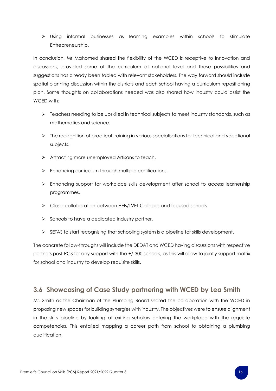➢ Using informal businesses as learning examples within schools to stimulate Entrepreneurship.

In conclusion, Mr Mahomed shared the flexibility of the WCED is receptive to innovation and discussions, provided some of the curriculum at national level and these possibilities and suggestions has already been tabled with relevant stakeholders. The way forward should include spatial planning discussion within the districts and each school having a curriculum repositioning plan. Some thoughts on collaborations needed was also shared how industry could assist the WCED with:

- ➢ Teachers needing to be upskilled in technical subjects to meet industry standards, such as mathematics and science.
- $\triangleright$  The recognition of practical training in various specialisations for technical and vocational subjects.
- ➢ Attracting more unemployed Artisans to teach.
- ➢ Enhancing curriculum through multiple certifications.
- ➢ Enhancing support for workplace skills development after school to access learnership programmes.
- ➢ Closer collaboration between HEIs/TVET Colleges and focused schools.
- $\triangleright$  Schools to have a dedicated industry partner.
- ➢ SETAS to start recognising that schooling system is a pipeline for skills development.

The concrete follow-throughs will include the DEDAT and WCED having discussions with respective partners post-PCS for any support with the +/-300 schools, as this will allow to jointly support matrix for school and industry to develop requisite skills.

#### <span id="page-15-0"></span>**3.6 Showcasing of Case Study partnering with WCED by Lea Smith**

Mr. Smith as the Chairman of the Plumbing Board shared the collaboration with the WCED in proposing new spaces for building synergies with industry. The objectives were to ensure alignment in the skills pipeline by looking at exiting scholars entering the workplace with the requisite competencies. This entailed mapping a career path from school to obtaining a plumbing qualification.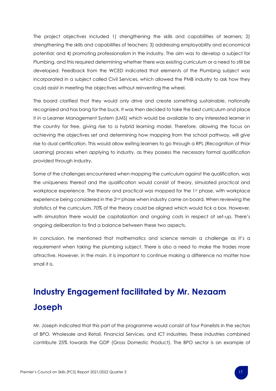The project objectives included 1) strengthening the skills and capabilities of learners; 2) strengthening the skills and capabilities of teachers; 3) addressing employability and economical potential; and 4) promoting professionalism in the industry. The aim was to develop a subject for Plumbing, and this required determining whether there was existing curriculum or a need to still be developed. Feedback from the WCED indicated that elements of the Plumbing subject was incorporated in a subject called Civil Services, which allowed the PMB industry to ask how they could assist in meeting the objectives without reinventing the wheel.

The board clarified that they would only drive and create something sustainable, nationally recognized and has bang for the buck. It was then decided to take the best curriculum and place it in a Learner Management System (LMS) which would be available to any interested learner in the country for free, giving rise to a hybrid learning model. Therefore, allowing the focus on achieving the objectives set and determining how mapping from the school pathway, will give rise to dual certification. This would allow exiting learners to go through a RPL (Recognition of Prior Learning) process when applying to industry, as they possess the necessary formal qualification provided through industry.

Some of the challenges encountered when mapping the curriculum against the qualification, was the uniqueness thereof and the qualification would consist of theory, simulated practical and workplace experience. The theory and practical was mapped for the 1st phase, with workplace experience being considered in the 2nd phase when industry came on board. When reviewing the statistics of the curriculum, 70% of the theory could be aligned which would tick a box. However, with simulation there would be capitalization and ongoing costs in respect of set-up. There's ongoing deliberation to find a balance between these two aspects.

In conclusion, he mentioned that mathematics and science remain a challenge as it's a requirement when taking the plumbing subject. There is also a need to make the trades more attractive. However, in the main, it is important to continue making a difference no matter how small it is.

# <span id="page-16-0"></span>**Industry Engagement facilitated by Mr. Nezaam Joseph**

Mr. Joseph indicated that this part of the programme would consist of four Panelists in the sectors of BPO, Wholesale and Retail, Financial Services, and ICT industries. These industries combined contribute 25% towards the GDP (Gross Domestic Product). The BPO sector is an example of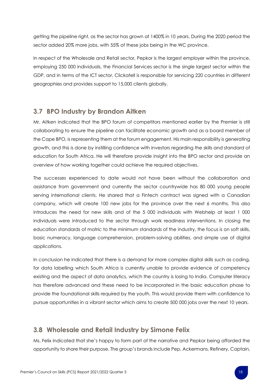getting the pipeline right, as the sector has grown at 1400% in 10 years. During the 2020 period the sector added 20% more jobs, with 55% of these jobs being in the WC province.

In respect of the Wholesale and Retail sector, Pepkor is the largest employer within the province, employing 250 000 individuals, the Financial Services sector is the single largest sector within the GDP, and in terms of the ICT sector, Clickatell is responsible for servicing 220 countries in different geographies and provides support to 15,000 clients globally.

#### <span id="page-17-0"></span>**3.7 BPO Industry by Brandon Aitken**

Mr. Aitken indicated that the BPO forum of competitors mentioned earlier by the Premier is still collaborating to ensure the pipeline can facilitate economic growth and as a board member of the Cape BPO, is representing them at the forum engagement. His main responsibility is generating growth, and this is done by instilling confidence with investors regarding the skills and standard of education for South Africa. He will therefore provide insight into the BPO sector and provide an overview of how working together could achieve the required objectives.

The successes experienced to date would not have been without the collaboration and assistance from government and currently the sector countrywide has 80 000 young people serving international clients. He shared that a Fintech contract was signed with a Canadian company, which will create 100 new jobs for the province over the next 6 months. This also introduces the need for new skills and of the 5 000 individuals with Webhelp at least 1 000 individuals were introduced to the sector through work readiness interventions. In closing the education standards of matric to the minimum standards of the industry, the focus is on soft skills, basic numeracy, language comprehension, problem-solving abilities, and simple use of digital applications.

In conclusion he indicated that there is a demand for more complex digital skills such as coding, for data labelling which South Africa is currently unable to provide evidence of competency existing and the aspect of data analytics, which the country is losing to India. Computer literacy has therefore advanced and these need to be incorporated in the basic education phase to provide the foundational skills required by the youth. This would provide them with confidence to pursue opportunities in a vibrant sector which aims to create 500 000 jobs over the next 10 years.

#### <span id="page-17-1"></span>**3.8 Wholesale and Retail Industry by Simone Felix**

Ms. Felix indicated that she's happy to form part of the narrative and Pepkor being afforded the opportunity to share their purpose. The group's brands include Pep, Ackermans, Refinery, Captain,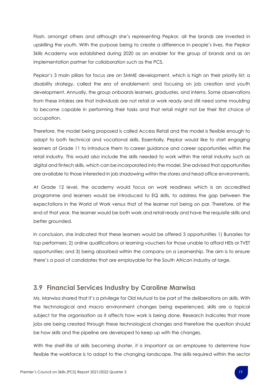Flash, amongst others and although she's representing Pepkor, all the brands are invested in upskilling the youth. With the purpose being to create a difference in people's lives, the Pepkor Skills Academy was established during 2020 as an enabler for the group of brands and as an implementation partner for collaboration such as the PCS.

Pepkor's 3 main pillars for focus are on SMME development, which is high on their priority list; a disability strategy, called the era of enablement; and focusing on job creation and youth development. Annually, the group onboards learners, graduates, and interns. Some observations from these intakes are that individuals are not retail or work ready and still need some moulding to become capable in performing their tasks and that retail might not be their first choice of occupation.

Therefore, the model being proposed is called Access Retail and the model is flexible enough to adapt to both technical and vocational skills. Essentially, Pepkor would like to start engaging learners at Grade 11 to introduce them to career guidance and career opportunities within the retail industry. This would also include the skills needed to work within the retail industry such as digital and fintech skills, which can be incorporated into the model. She advised that opportunities are available to those interested in job shadowing within the stores and head office environments.

At Grade 12 level, the academy would focus on work readiness which is an accredited programme and learners would be introduced to EQ skills, to address the gap between the expectations in the World of Work versus that of the learner not being on par. Therefore, at the end of that year, the learner would be both work and retail ready and have the requisite skills and better grounded.

In conclusion, she indicated that these learners would be offered 3 opportunities 1) Bursaries for top performers; 2) online qualifications or learning vouchers for those unable to afford HEIs or TVET opportunities; and 3) being absorbed within the company on a Learnership. The aim is to ensure there's a pool of candidates that are employable for the South African industry at large.

#### <span id="page-18-0"></span>**3.9 Financial Services Industry by Caroline Marwisa**

Ms. Marwisa shared that it's a privilege for Old Mutual to be part of the deliberations on skills. With the technological and macro environment changes being experienced, skills are a topical subject for the organisation as it affects how work is being done. Research indicates that more jobs are being created through these technological changes and therefore the question should be how skills and the pipeline are developed to keep up with the changes.

With the shelf-life of skills becoming shorter, it is important as an employee to determine how flexible the workforce is to adapt to the changing landscape. The skills required within the sector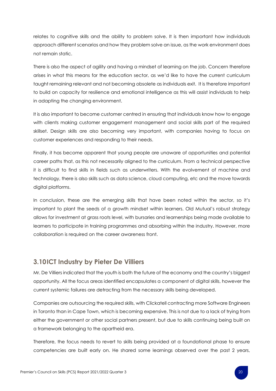relates to cognitive skills and the ability to problem solve. It is then important how individuals approach different scenarios and how they problem solve an issue, as the work environment does not remain static.

There is also the aspect of agility and having a mindset of learning on the job. Concern therefore arises in what this means for the education sector, as we'd like to have the current curriculum taught remaining relevant and not becoming obsolete as individuals exit. It is therefore important to build on capacity for resilience and emotional intelligence as this will assist individuals to help in adapting the changing environment.

It is also important to become customer centred in ensuring that individuals know how to engage with clients making customer engagement management and social skills part of the required skillset. Design skills are also becoming very important, with companies having to focus on customer experiences and responding to their needs.

Finally, it has become apparent that young people are unaware of opportunities and potential career paths that, as this not necessarily aligned to the curriculum. From a technical perspective it is difficult to find skills in fields such as underwriters. With the evolvement of machine and technology, there is also skills such as data science, cloud computing, etc and the move towards digital platforms.

In conclusion, these are the emerging skills that have been noted within the sector, so it's important to plant the seeds of a growth mindset within learners. Old Mutual's robust strategy allows for investment at grass roots level, with bursaries and learnerships being made available to learners to participate in training programmes and absorbing within the industry. However, more collaboration is required on the career awareness front.

#### <span id="page-19-0"></span>**3.10ICT Industry by Pieter De Villiers**

Mr. De Villiers indicated that the youth is both the future of the economy and the country's biggest opportunity. All the focus areas identified encapsulates a component of digital skills, however the current systemic failures are detracting from the necessary skills being developed.

Companies are outsourcing the required skills, with Clickatell contracting more Software Engineers in Toronto than in Cape Town, which is becoming expensive. This is not due to a lack of trying from either the government or other social partners present, but due to skills continuing being built on a framework belonging to the apartheid era.

Therefore, the focus needs to revert to skills being provided at a foundational phase to ensure competencies are built early on. He shared some learnings observed over the past 2 years,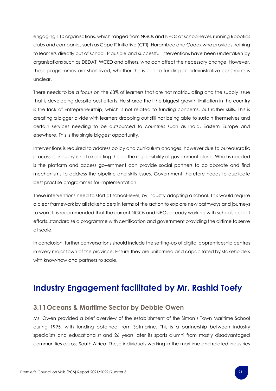engaging 110 organisations, which ranged from NGOs and NPOs at school-level, running Robotics clubs and companies such as Cape IT Initiative (CITI), Harambee and Codex who provides training to learners directly out of school. Plausible and successful interventions have been undertaken by organisations such as DEDAT, WCED and others, who can affect the necessary change. However, these programmes are short-lived, whether this is due to funding or administrative constraints is unclear.

There needs to be a focus on the 63% of learners that are not matriculating and the supply issue that is developing despite best efforts. He shared that the biggest growth limitation in the country is the lack of Entrepreneurship, which is not related to funding concerns, but rather skills. This is creating a bigger divide with learners dropping out still not being able to sustain themselves and certain services needing to be outsourced to countries such as India, Eastern Europe and elsewhere. This is the single biggest opportunity.

Interventions is required to address policy and curriculum changes, however due to bureaucratic processes, industry is not expecting this be the responsibility of government alone. What is needed is the platform and access government can provide social partners to collaborate and find mechanisms to address the pipeline and skills issues. Government therefore needs to duplicate best practise programmes for implementation.

These interventions need to start at school-level, by industry adopting a school. This would require a clear framework by all stakeholders in terms of the action to explore new pathways and journeys to work. It is recommended that the current NGOs and NPOs already working with schools collect efforts, standardise a programme with certification and government providing the airtime to serve at scale.

In conclusion, further conversations should include the setting-up of digital apprenticeship centres in every major town of the province. Ensure they are uniformed and capacitated by stakeholders with know-how and partners to scale.

## <span id="page-20-0"></span>**Industry Engagement facilitated by Mr. Rashid Toefy**

#### <span id="page-20-1"></span>**3.11Oceans & Maritime Sector by Debbie Owen**

Ms. Owen provided a brief overview of the establishment of the Simon's Town Maritime School during 1995, with funding obtained from Safmarine. This is a partnership between industry specialists and educationalist and 26 years later its sports alumni from mostly disadvantaged communities across South Africa. These individuals working in the maritime and related industries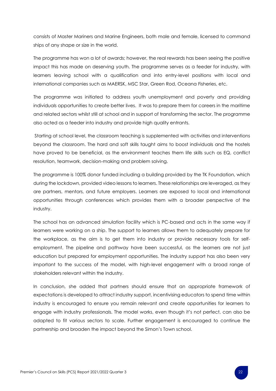consists of Master Mariners and Marine Engineers, both male and female, licensed to command ships of any shape or size in the world.

The programme has won a lot of awards; however, the real rewards has been seeing the positive impact this has made on deserving youth. The programme serves as a feeder for industry, with learners leaving school with a qualification and into entry-level positions with local and international companies such as MAERSK, MSC Star, Green Rod, Oceana Fisheries, etc.

The programme was initiated to address youth unemployment and poverty and providing individuals opportunities to create better lives. It was to prepare them for careers in the maritime and related sectors whilst still at school and in support of transforming the sector. The programme also acted as a feeder into industry and provide high quality entrants.

Starting at school level, the classroom teaching is supplemented with activities and interventions beyond the classroom. The hard and soft skills taught aims to boost individuals and the hostels have proved to be beneficial, as the environment teaches them life skills such as EQ, conflict resolution, teamwork, decision-making and problem solving.

The programme is 100% donor funded including a building provided by the TK Foundation, which during the lockdown, provided video lessons to learners. These relationships are leveraged, as they are partners, mentors, and future employers. Learners are exposed to local and international opportunities through conferences which provides them with a broader perspective of the industry.

The school has an advanced simulation facility which is PC-based and acts in the same way if learners were working on a ship. The support to learners allows them to adequately prepare for the workplace, as the aim is to get them into industry or provide necessary tools for selfemployment. The pipeline and pathway have been successful, as the learners are not just education but prepared for employment opportunities. The industry support has also been very important to the success of the model, with high-level engagement with a broad range of stakeholders relevant within the industry.

In conclusion, she added that partners should ensure that an appropriate framework of expectations is developed to attract industry support, incentivising educators to spend time within industry is encouraged to ensure you remain relevant and create opportunities for learners to engage with industry professionals. The model works, even though it's not perfect, can also be adapted to fit various sectors to scale. Further engagement is encouraged to continue the partnership and broaden the impact beyond the Simon's Town school.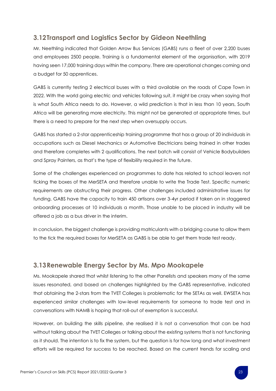#### <span id="page-22-0"></span>**3.12Transport and Logistics Sector by Gideon Neethling**

Mr. Neethling indicated that Golden Arrow Bus Services (GABS) runs a fleet of over 2,200 buses and employees 2500 people. Training is a fundamental element of the organisation, with 2019 having seen 17,000 training days within the company. There are operational changes coming and a budget for 50 apprentices.

GABS is currently testing 2 electrical buses with a third available on the roads of Cape Town in 2022. With the world going electric and vehicles following suit, it might be crazy when saying that is what South Africa needs to do. However, a wild prediction is that in less than 10 years, South Africa will be generating more electricity. This might not be generated at appropriate times, but there is a need to prepare for the next step when oversupply occurs.

GABS has started a 2-star apprenticeship training programme that has a group of 20 individuals in occupations such as Diesel Mechanics or Automotive Electricians being trained in other trades and therefore completes with 2 qualifications. The next batch will consist of Vehicle Bodybuilders and Spray Painters, as that's the type of flexibility required in the future.

Some of the challenges experienced on programmes to date has related to school leavers not ticking the boxes of the MerSETA and therefore unable to write the Trade Test. Specific numeric requirements are obstructing their progress. Other challenges included administrative issues for funding. GABS have the capacity to train 450 artisans over 3-4yr period if taken on in staggered onboarding processes at 10 individuals a month. Those unable to be placed in industry will be offered a job as a bus driver in the interim.

In conclusion, the biggest challenge is providing matriculants with a bridging course to allow them to the tick the required boxes for MerSETA as GABS is be able to get them trade test ready.

#### <span id="page-22-1"></span>**3.13Renewable Energy Sector by Ms. Mpo Mookapele**

Ms. Mookapele shared that whilst listening to the other Panelists and speakers many of the same issues resonated, and based on challenges highlighted by the GABS representative, indicated that obtaining the 2-stars from the TVET Colleges is problematic for the SETAs as well. EWSETA has experienced similar challenges with low-level requirements for someone to trade test and in conversations with NAMB is hoping that roll-out of exemption is successful.

However, on building the skills pipeline, she realised it is not a conversation that can be had without talking about the TVET Colleges or talking about the existing systems that is not functioning as it should. The intention is to fix the system, but the question is for how long and what investment efforts will be required for success to be reached. Based on the current trends for scaling and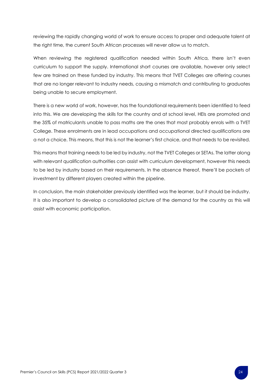reviewing the rapidly changing world of work to ensure access to proper and adequate talent at the right time, the current South African processes will never allow us to match.

When reviewing the registered qualification needed within South Africa, there isn't even curriculum to support the supply. International short courses are available, however only select few are trained on these funded by industry. This means that TVET Colleges are offering courses that are no longer relevant to industry needs, causing a mismatch and contributing to graduates being unable to secure employment.

There is a new world of work, however, has the foundational requirements been identified to feed into this. We are developing the skills for the country and at school level, HEIs are promoted and the 35% of matriculants unable to pass maths are the ones that most probably enrols with a TVET College. These enrolments are in lead occupations and occupational directed qualifications are a not a choice. This means, that this is not the learner's first choice, and that needs to be revisited.

This means that training needs to be led by industry, not the TVET Colleges or SETAs. The latter along with relevant qualification authorities can assist with curriculum development, however this needs to be led by industry based on their requirements. In the absence thereof, there'll be pockets of investment by different players created within the pipeline.

In conclusion, the main stakeholder previously identified was the learner, but it should be industry. It is also important to develop a consolidated picture of the demand for the country as this will assist with economic participation.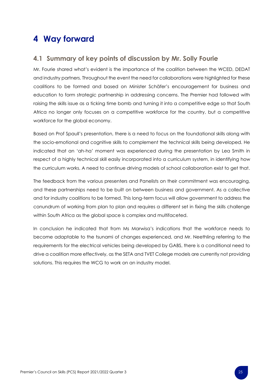## <span id="page-24-0"></span>**4 Way forward**

#### <span id="page-24-1"></span>**4.1 Summary of key points of discussion by Mr. Solly Fourie**

Mr. Fourie shared what's evident is the importance of the coalition between the WCED, DEDAT and industry partners. Throughout the event the need for collaborations were highlighted for these coalitions to be formed and based on Minister Schäfer's encouragement for business and education to form strategic partnership in addressing concerns. The Premier had followed with raising the skills issue as a ticking time bomb and turning it into a competitive edge so that South Africa no longer only focuses on a competitive workforce for the country, but a competitive workforce for the global economy.

Based on Prof Spaull's presentation, there is a need to focus on the foundational skills along with the socio-emotional and cognitive skills to complement the technical skills being developed. He indicated that an 'ah-ha' moment was experienced during the presentation by Lea Smith in respect of a highly technical skill easily incorporated into a curriculum system, in identifying how the curriculum works. A need to continue driving models of school collaboration exist to get that.

The feedback from the various presenters and Panelists on their commitment was encouraging, and these partnerships need to be built on between business and government. As a collective and for industry coalitions to be formed. This long-term focus will allow government to address the conundrum of working from plan to plan and requires a different set in fixing the skills challenge within South Africa as the global space is complex and multifaceted.

In conclusion he indicated that from Ms Marwisa's indications that the workforce needs to become adaptable to the tsunami of changes experienced, and Mr. Neethling referring to the requirements for the electrical vehicles being developed by GABS, there is a conditional need to drive a coalition more effectively, as the SETA and TVET College models are currently not providing solutions. This requires the WCG to work on an industry model.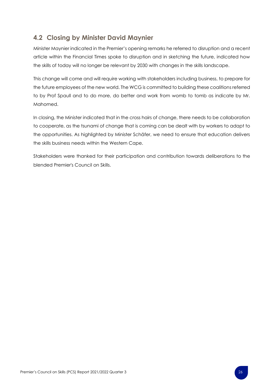#### <span id="page-25-0"></span>**4.2 Closing by Minister David Maynier**

Minister Maynier indicated in the Premier's opening remarks he referred to disruption and a recent article within the Financial Times spoke to disruption and in sketching the future, indicated how the skills of today will no longer be relevant by 2030 with changes in the skills landscape.

This change will come and will require working with stakeholders including business, to prepare for the future employees of the new world. The WCG is committed to building these coalitions referred to by Prof Spaull and to do more, do better and work from womb to tomb as indicate by Mr. Mahomed.

In closing, the Minister indicated that in the cross hairs of change, there needs to be collaboration to cooperate, as the tsunami of change that is coming can be dealt with by workers to adapt to the opportunities. As highlighted by Minister Schäfer, we need to ensure that education delivers the skills business needs within the Western Cape.

Stakeholders were thanked for their participation and contribution towards deliberations to the blended Premier's Council on Skills.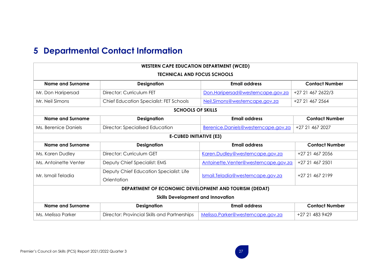## **5 Departmental Contact Information**

<span id="page-26-0"></span>

| <b>WESTERN CAPE EDUCATION DEPARTMENT (WCED)</b>        |                                                |                                      |                       |  |  |  |
|--------------------------------------------------------|------------------------------------------------|--------------------------------------|-----------------------|--|--|--|
| <b>TECHNICAL AND FOCUS SCHOOLS</b>                     |                                                |                                      |                       |  |  |  |
| <b>Name and Surname</b>                                | <b>Designation</b>                             | <b>Email address</b>                 | <b>Contact Number</b> |  |  |  |
| Mr. Don Haripersad                                     | Director: Curriculum FET                       | Don.Haripersad@westerncape.gov.za    | +27 21 467 2622/3     |  |  |  |
| Mr. Neil Simons                                        | <b>Chief Education Specialist: FET Schools</b> | Neil.Simons@westerncape.gov.za       | +27 21 467 2564       |  |  |  |
| <b>SCHOOLS OF SKILLS</b>                               |                                                |                                      |                       |  |  |  |
| <b>Name and Surname</b>                                | <b>Designation</b>                             | <b>Email address</b>                 | <b>Contact Number</b> |  |  |  |
| Ms. Berenice Daniels                                   | Director: Specialised Education                | Berenice.Daniels@westerncape.gov.za  | +27 21 467 2027       |  |  |  |
| <b>E-CUBED INITIATIVE (E3)</b>                         |                                                |                                      |                       |  |  |  |
| <b>Name and Surname</b>                                | <b>Designation</b>                             | <b>Email address</b>                 | <b>Contact Number</b> |  |  |  |
| Ms. Karen Dudley                                       | Director: Curriculum GET                       | Karen.Dudley@westerncape.gov.za      | +27 21 467 2056       |  |  |  |
| Ms. Antoinette Venter                                  | Deputy Chief Specialist: EMS                   | Antoinette.Venter@westerncape.gov.za | +27 21 467 2501       |  |  |  |
| Mr. Ismail Teladia                                     | Deputy Chief Education Specialist: Life        | Ismail.Teladia@westerncape.gov.za    | +27 21 467 2199       |  |  |  |
|                                                        | Orientation                                    |                                      |                       |  |  |  |
| DEPARTMENT OF ECONOMIC DEVELOPMENT AND TOURISM (DEDAT) |                                                |                                      |                       |  |  |  |
| <b>Skills Development and Innovation</b>               |                                                |                                      |                       |  |  |  |
| <b>Name and Surname</b>                                | <b>Designation</b>                             | <b>Email address</b>                 | <b>Contact Number</b> |  |  |  |
| Ms. Melissa Parker                                     | Director: Provincial Skills and Partnerships   | Melissa.Parker@westerncape.gov.za    | +27 21 483 9429       |  |  |  |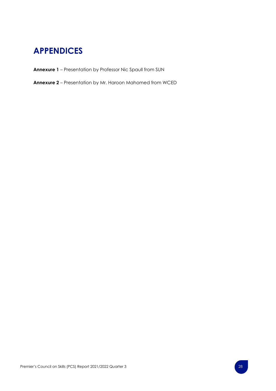## <span id="page-27-0"></span>**APPENDICES**

- **Annexure 1** Presentation by Professor Nic Spaull from SUN
- **Annexure 2** Presentation by Mr. Haroon Mahomed from WCED